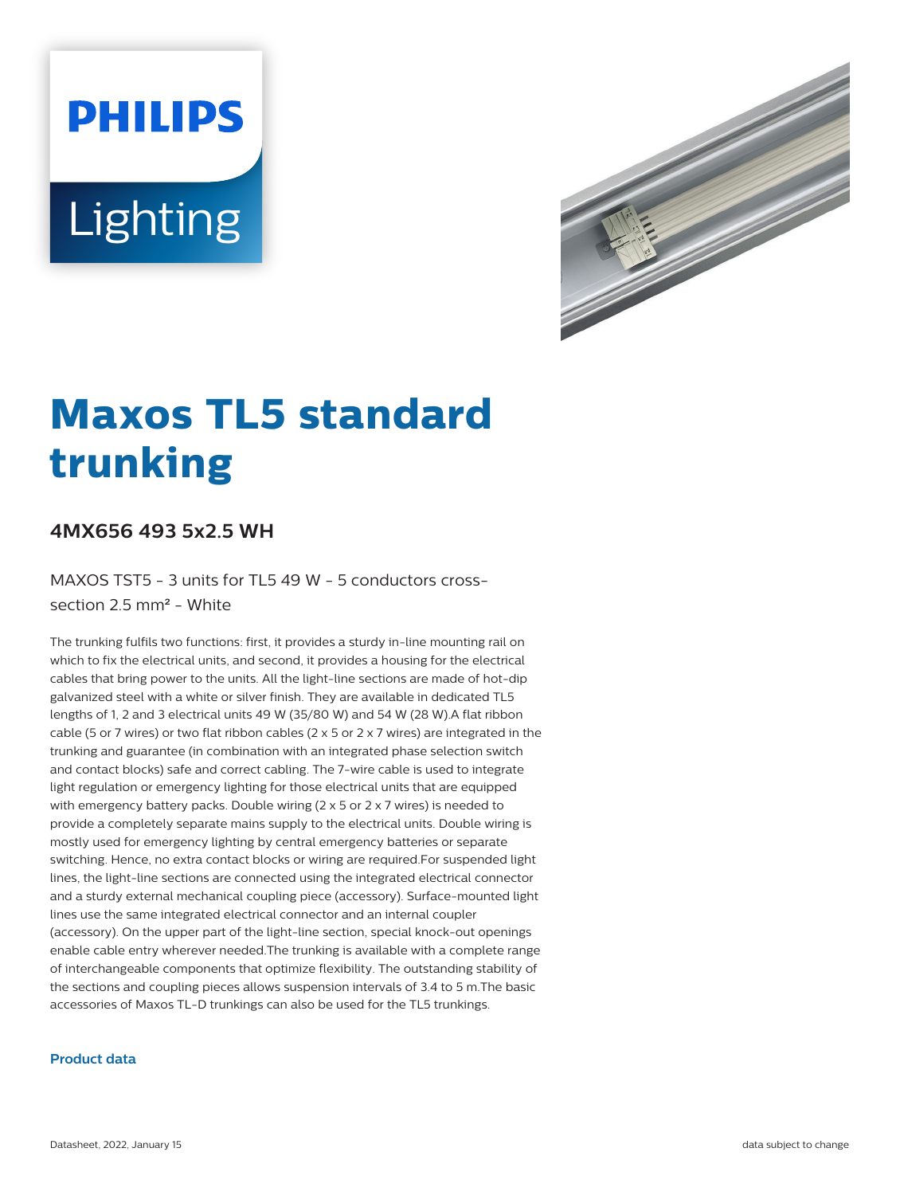# **PHILIPS** Lighting



# **Maxos TL5 standard trunking**

## **4MX656 493 5x2.5 WH**

MAXOS TST5 - 3 units for TL5 49 W - 5 conductors crosssection 2.5 mm² - White

The trunking fulfils two functions: first, it provides a sturdy in-line mounting rail on which to fix the electrical units, and second, it provides a housing for the electrical cables that bring power to the units. All the light-line sections are made of hot-dip galvanized steel with a white or silver finish. They are available in dedicated TL5 lengths of 1, 2 and 3 electrical units 49 W (35/80 W) and 54 W (28 W).A flat ribbon cable (5 or 7 wires) or two flat ribbon cables (2  $\times$  5 or 2  $\times$  7 wires) are integrated in the trunking and guarantee (in combination with an integrated phase selection switch and contact blocks) safe and correct cabling. The 7-wire cable is used to integrate light regulation or emergency lighting for those electrical units that are equipped with emergency battery packs. Double wiring (2 x 5 or 2 x 7 wires) is needed to provide a completely separate mains supply to the electrical units. Double wiring is mostly used for emergency lighting by central emergency batteries or separate switching. Hence, no extra contact blocks or wiring are required.For suspended light lines, the light-line sections are connected using the integrated electrical connector and a sturdy external mechanical coupling piece (accessory). Surface-mounted light lines use the same integrated electrical connector and an internal coupler (accessory). On the upper part of the light-line section, special knock-out openings enable cable entry wherever needed.The trunking is available with a complete range of interchangeable components that optimize flexibility. The outstanding stability of the sections and coupling pieces allows suspension intervals of 3.4 to 5 m.The basic accessories of Maxos TL-D trunkings can also be used for the TL5 trunkings.

#### **Product data**